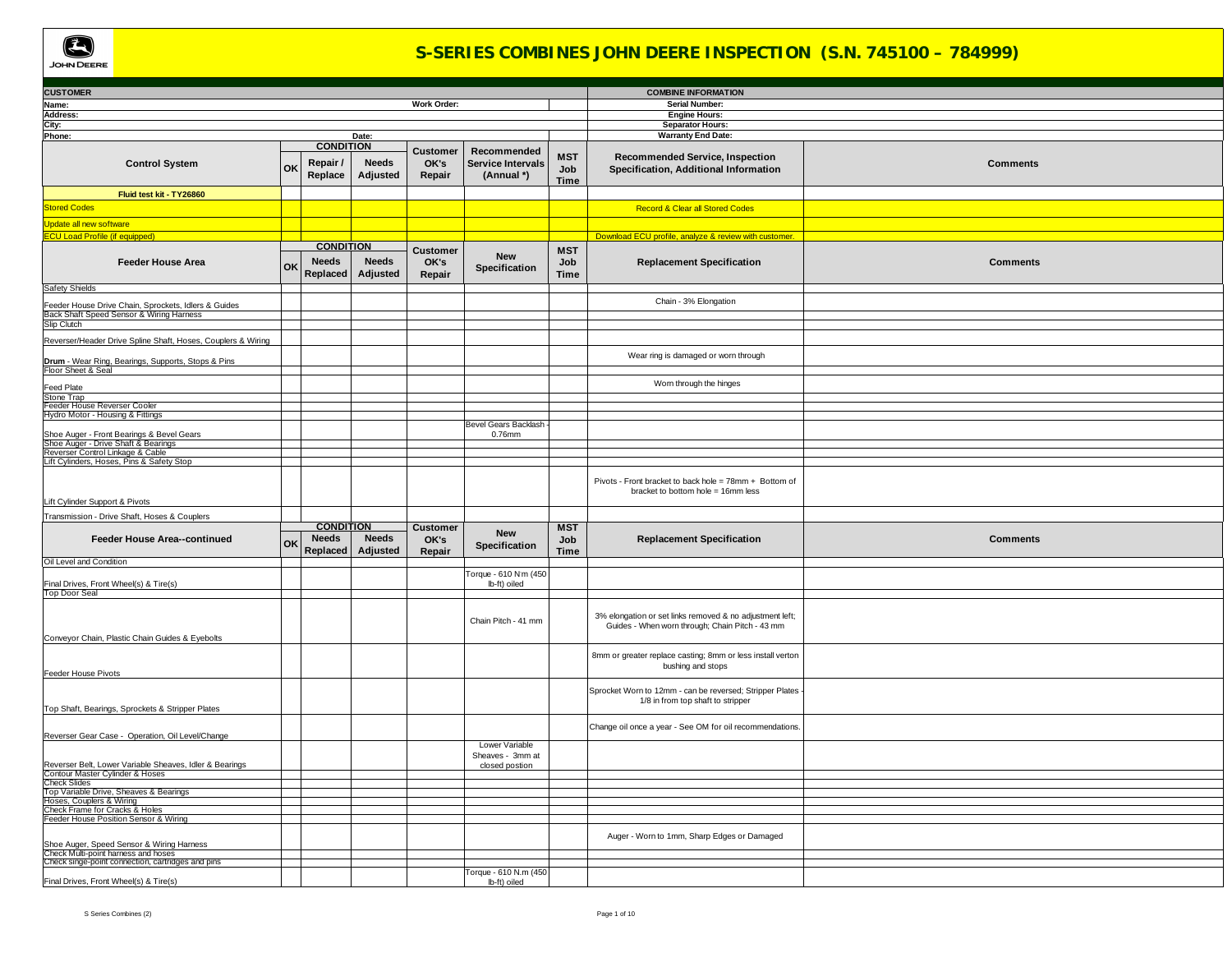

## **S-SERIES COMBINES JOHN DEERE INSPECTION (S.N. 745100 – 784999)**

| <b>CUSTOMER</b>                                                                                                 |                                |                                              |                                   |                                                       |                                  | <b>COMBINE INFORMATION</b>                                                                                  |                 |
|-----------------------------------------------------------------------------------------------------------------|--------------------------------|----------------------------------------------|-----------------------------------|-------------------------------------------------------|----------------------------------|-------------------------------------------------------------------------------------------------------------|-----------------|
| Name:                                                                                                           |                                |                                              | Work Order:                       |                                                       |                                  | Serial Number:                                                                                              |                 |
| Address:                                                                                                        |                                |                                              |                                   |                                                       |                                  | <b>Engine Hours:</b>                                                                                        |                 |
| City:<br>Phone:                                                                                                 |                                | Date:                                        |                                   |                                                       |                                  | <b>Separator Hours:</b><br><b>Warranty End Date:</b>                                                        |                 |
|                                                                                                                 |                                | <b>CONDITION</b>                             |                                   |                                                       |                                  |                                                                                                             |                 |
| <b>Control System</b>                                                                                           | Repair/<br>OK<br>Replace       | <b>Needs</b><br>Adjusted                     | <b>Customer</b><br>OK's<br>Repair | Recommended<br><b>Service Intervals</b><br>(Annual *) | <b>MST</b><br>Job<br><b>Time</b> | <b>Recommended Service, Inspection</b><br>Specification, Additional Information                             | <b>Comments</b> |
| Fluid test kit - TY26860                                                                                        |                                |                                              |                                   |                                                       |                                  |                                                                                                             |                 |
| <b>Stored Codes</b>                                                                                             |                                |                                              |                                   |                                                       |                                  | <b>Record &amp; Clear all Stored Codes</b>                                                                  |                 |
| Jpdate all new software                                                                                         |                                |                                              |                                   |                                                       |                                  |                                                                                                             |                 |
| <b>CU Load Profile (if equipped)</b>                                                                            |                                |                                              |                                   |                                                       |                                  | Download ECU profile, analyze & review with customer.                                                       |                 |
|                                                                                                                 |                                | <b>CONDITION</b>                             |                                   |                                                       | <b>MST</b>                       |                                                                                                             |                 |
| <b>Feeder House Area</b>                                                                                        | <b>Needs</b><br>OK<br>Replaced | <b>Needs</b><br>Adjusted                     | <b>Customer</b><br>OK's<br>Repair | <b>New</b><br>Specification                           | Job<br><b>Time</b>               | <b>Replacement Specification</b>                                                                            | <b>Comments</b> |
| <b>Safety Shields</b>                                                                                           |                                |                                              |                                   |                                                       |                                  |                                                                                                             |                 |
|                                                                                                                 |                                |                                              |                                   |                                                       |                                  | Chain - 3% Elongation                                                                                       |                 |
| Feeder House Drive Chain, Sprockets, Idlers & Guides<br>Back Shaft Speed Sensor & Wiring Harness<br>Slip Clutch |                                |                                              |                                   |                                                       |                                  |                                                                                                             |                 |
|                                                                                                                 |                                |                                              |                                   |                                                       |                                  |                                                                                                             |                 |
| Reverser/Header Drive Spline Shaft, Hoses, Couplers & Wiring                                                    |                                |                                              |                                   |                                                       |                                  |                                                                                                             |                 |
| Drum - Wear Ring, Bearings, Supports, Stops & Pins<br>Floor Sheet & Seal                                        |                                |                                              |                                   |                                                       |                                  | Wear ring is damaged or worn through                                                                        |                 |
|                                                                                                                 |                                |                                              |                                   |                                                       |                                  | Worn through the hinges                                                                                     |                 |
| <b>Feed Plate</b>                                                                                               |                                |                                              |                                   |                                                       |                                  |                                                                                                             |                 |
| Stone Trap<br>Feeder House Reverser Cooler                                                                      |                                |                                              |                                   |                                                       |                                  |                                                                                                             |                 |
| Hydro Motor - Housing & Fittings                                                                                |                                |                                              |                                   |                                                       |                                  |                                                                                                             |                 |
|                                                                                                                 |                                |                                              |                                   | <b>Bevel Gears Backlash</b>                           |                                  |                                                                                                             |                 |
| Shoe Auger - Front Bearings & Bevel Gears<br>Shoe Auger - Drive Shaft & Bearings                                |                                |                                              |                                   | 0.76mm                                                |                                  |                                                                                                             |                 |
| Reverser Control Linkage & Cable<br>Lift Cylinders, Hoses, Pins & Safety Stop                                   |                                |                                              |                                   |                                                       |                                  |                                                                                                             |                 |
|                                                                                                                 |                                |                                              |                                   |                                                       |                                  |                                                                                                             |                 |
| Lift Cylinder Support & Pivots                                                                                  |                                |                                              |                                   |                                                       |                                  | Pivots - Front bracket to back hole = 78mm + Bottom of<br>bracket to bottom hole = 16mm less                |                 |
|                                                                                                                 |                                |                                              |                                   |                                                       |                                  |                                                                                                             |                 |
|                                                                                                                 |                                |                                              |                                   |                                                       |                                  |                                                                                                             |                 |
| Transmission - Drive Shaft, Hoses & Couplers                                                                    |                                |                                              |                                   |                                                       |                                  |                                                                                                             |                 |
| Feeder House Area--continued                                                                                    | <b>Needs</b><br>OK<br>Replaced | <b>CONDITION</b><br><b>Needs</b><br>Adjusted | <b>Customer</b><br>OK's<br>Repair | <b>New</b><br>Specification                           | <b>MST</b><br>Job<br>Time        | <b>Replacement Specification</b>                                                                            | <b>Comments</b> |
| Oil Level and Condition                                                                                         |                                |                                              |                                   |                                                       |                                  |                                                                                                             |                 |
| Final Drives, Front Wheel(s) & Tire(s)                                                                          |                                |                                              |                                   | Torque - 610 N'm (450<br>lb-ft) oiled                 |                                  |                                                                                                             |                 |
| Top Door Seal                                                                                                   |                                |                                              |                                   |                                                       |                                  |                                                                                                             |                 |
|                                                                                                                 |                                |                                              |                                   | Chain Pitch - 41 mm                                   |                                  | 3% elongation or set links removed & no adjustment left;<br>Guides - When worn through; Chain Pitch - 43 mm |                 |
| Conveyor Chain, Plastic Chain Guides & Eyebolts                                                                 |                                |                                              |                                   |                                                       |                                  | 8mm or greater replace casting; 8mm or less install verton<br>bushing and stops                             |                 |
| Feeder House Pivots                                                                                             |                                |                                              |                                   |                                                       |                                  | Sprocket Worn to 12mm - can be reversed; Stripper Plates<br>1/8 in from top shaft to stripper               |                 |
| Top Shaft, Bearings, Sprockets & Stripper Plates                                                                |                                |                                              |                                   |                                                       |                                  | Change oil once a year - See OM for oil recommendations.                                                    |                 |
| Reverser Gear Case - Operation, Oil Level/Change                                                                |                                |                                              |                                   | Lower Variable                                        |                                  |                                                                                                             |                 |
|                                                                                                                 |                                |                                              |                                   | Sheaves - 3mm at<br>closed postion                    |                                  |                                                                                                             |                 |
| Reverser Belt, Lower Variable Sheaves, Idler & Bearings<br>Contour Master Cylinder & Hoses                      |                                |                                              |                                   |                                                       |                                  |                                                                                                             |                 |
| <b>Check Slides</b>                                                                                             |                                |                                              |                                   |                                                       |                                  |                                                                                                             |                 |
| Top Variable Drive, Sheaves & Bearings<br>Hoses, Couplers & Wiring                                              |                                |                                              |                                   |                                                       |                                  |                                                                                                             |                 |
| Check Frame for Cracks & Holes                                                                                  |                                |                                              |                                   |                                                       |                                  |                                                                                                             |                 |
| Feeder House Position Sensor & Wiring                                                                           |                                |                                              |                                   |                                                       |                                  |                                                                                                             |                 |
| Shoe Auger, Speed Sensor & Wiring Harness                                                                       |                                |                                              |                                   |                                                       |                                  | Auger - Worn to 1mm, Sharp Edges or Damaged                                                                 |                 |
| Check Multi-point harness and hoses                                                                             |                                |                                              |                                   |                                                       |                                  |                                                                                                             |                 |
| Check singe-point connection, cartridges and pins<br>Final Drives, Front Wheel(s) & Tire(s)                     |                                |                                              |                                   | Torque - 610 N.m (450                                 |                                  |                                                                                                             |                 |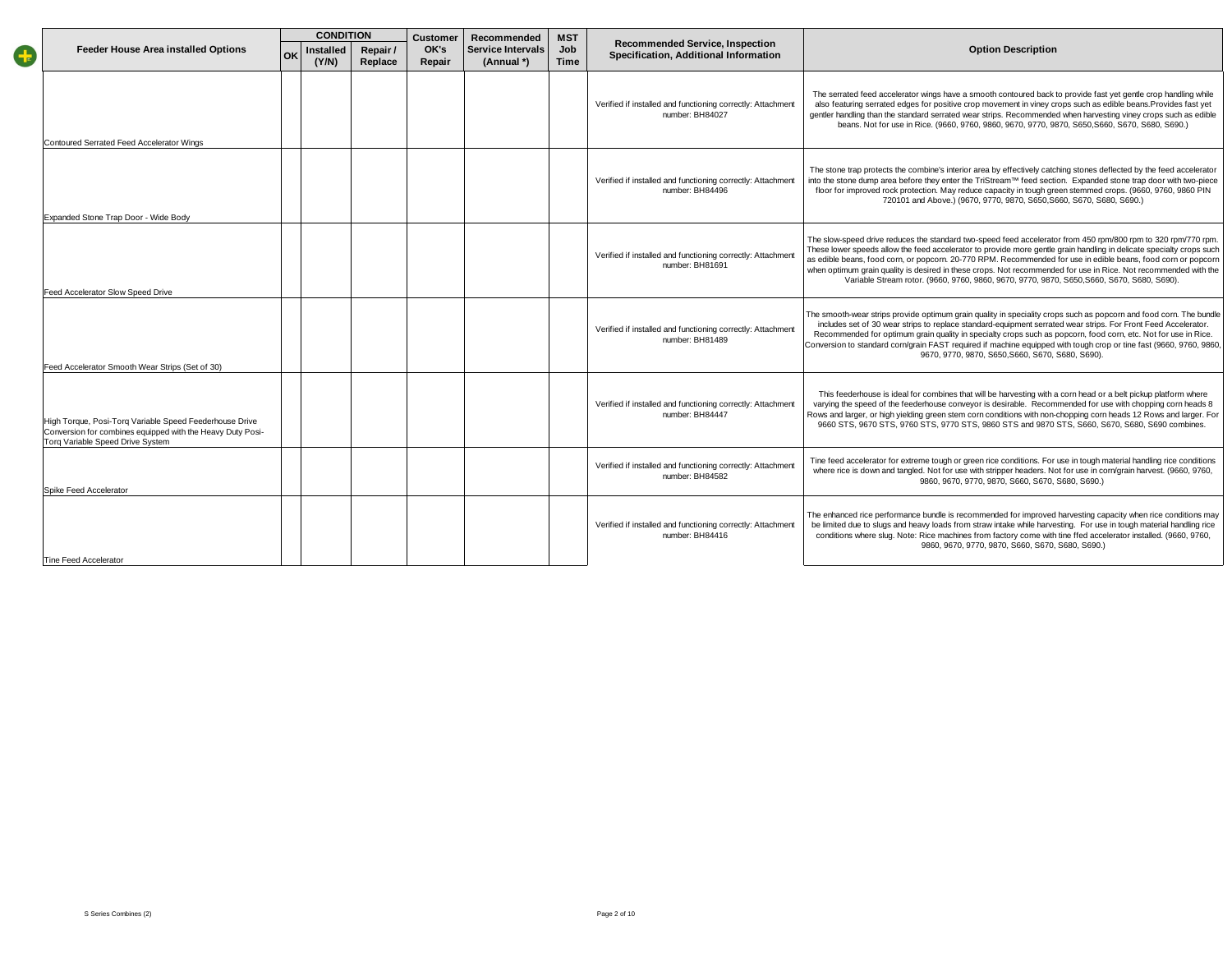|                        |                                                                                                                                                           |    | <b>CONDITION</b>   |                     | <b>Customer</b> | Recommended                            | <b>MST</b>         |                                                                                 |                                                                                                                                                                                                                                                                                                                                                                                                                                                                                                                                                                         |
|------------------------|-----------------------------------------------------------------------------------------------------------------------------------------------------------|----|--------------------|---------------------|-----------------|----------------------------------------|--------------------|---------------------------------------------------------------------------------|-------------------------------------------------------------------------------------------------------------------------------------------------------------------------------------------------------------------------------------------------------------------------------------------------------------------------------------------------------------------------------------------------------------------------------------------------------------------------------------------------------------------------------------------------------------------------|
| $\left  \cdot \right $ | <b>Feeder House Area installed Options</b>                                                                                                                | OK | Installed<br>(Y/N) | Repair /<br>Replace | OK's<br>Repair  | <b>Service Intervals</b><br>(Annual *) | Job<br><b>Time</b> | <b>Recommended Service, Inspection</b><br>Specification, Additional Information | <b>Option Description</b>                                                                                                                                                                                                                                                                                                                                                                                                                                                                                                                                               |
|                        | Contoured Serrated Feed Accelerator Wings                                                                                                                 |    |                    |                     |                 |                                        |                    | Verified if installed and functioning correctly: Attachment<br>number: BH84027  | The serrated feed accelerator wings have a smooth contoured back to provide fast yet gentle crop handling while<br>also featuring serrated edges for positive crop movement in viney crops such as edible beans. Provides fast yet<br>gentler handling than the standard serrated wear strips. Recommended when harvesting viney crops such as edible<br>beans. Not for use in Rice. (9660, 9760, 9860, 9670, 9770, 9870, S650, S660, S670, S680, S690.)                                                                                                                |
|                        | Expanded Stone Trap Door - Wide Body                                                                                                                      |    |                    |                     |                 |                                        |                    | Verified if installed and functioning correctly: Attachment<br>number: BH84496  | The stone trap protects the combine's interior area by effectively catching stones deflected by the feed accelerator<br>into the stone dump area before they enter the TriStream™ feed section. Expanded stone trap door with two-piece<br>floor for improved rock protection. May reduce capacity in tough green stemmed crops. (9660, 9760, 9860 PIN<br>720101 and Above.) (9670, 9770, 9870, S650, S660, S670, S680, S690.)                                                                                                                                          |
|                        | Feed Accelerator Slow Speed Drive                                                                                                                         |    |                    |                     |                 |                                        |                    | Verified if installed and functioning correctly: Attachment<br>number: BH81691  | The slow-speed drive reduces the standard two-speed feed accelerator from 450 rpm/800 rpm to 320 rpm/770 rpm.<br>These lower speeds allow the feed accelerator to provide more gentle grain handling in delicate specialty crops such<br>as edible beans, food corn, or popcorn. 20-770 RPM. Recommended for use in edible beans, food corn or popcorn<br>when optimum grain quality is desired in these crops. Not recommended for use in Rice. Not recommended with the<br>Variable Stream rotor. (9660, 9760, 9860, 9670, 9770, 9870, S650, S660, S670, S680, S690). |
|                        | Feed Accelerator Smooth Wear Strips (Set of 30)                                                                                                           |    |                    |                     |                 |                                        |                    | Verified if installed and functioning correctly: Attachment<br>number: BH81489  | The smooth-wear strips provide optimum grain quality in speciality crops such as popcorn and food corn. The bundle<br>includes set of 30 wear strips to replace standard-equipment serrated wear strips. For Front Feed Accelerator.<br>Recommended for optimum grain quality in specialty crops such as popcorn, food corn, etc. Not for use in Rice.<br>Conversion to standard corn/grain FAST required if machine equipped with tough crop or tine fast (9660, 9760, 9860,<br>9670, 9770, 9870, S650, S660, S670, S680, S690).                                       |
|                        | High Torque, Posi-Torg Variable Speed Feederhouse Drive<br>Conversion for combines equipped with the Heavy Duty Posi-<br>Torg Variable Speed Drive System |    |                    |                     |                 |                                        |                    | Verified if installed and functioning correctly: Attachment<br>number: BH84447  | This feederhouse is ideal for combines that will be harvesting with a corn head or a belt pickup platform where<br>varying the speed of the feederhouse conveyor is desirable. Recommended for use with chopping corn heads 8<br>Rows and larger, or high yielding green stem corn conditions with non-chopping corn heads 12 Rows and larger. For<br>9660 STS, 9670 STS, 9760 STS, 9770 STS, 9860 STS and 9870 STS, S660, S670, S680, S690 combines.                                                                                                                   |
|                        | Spike Feed Accelerator                                                                                                                                    |    |                    |                     |                 |                                        |                    | Verified if installed and functioning correctly: Attachment<br>number: BH84582  | Tine feed accelerator for extreme tough or green rice conditions. For use in tough material handling rice conditions<br>where rice is down and tangled. Not for use with stripper headers. Not for use in corn/grain harvest. (9660, 9760,<br>9860, 9670, 9770, 9870, S660, S670, S680, S690.)                                                                                                                                                                                                                                                                          |
|                        | Tine Feed Accelerator                                                                                                                                     |    |                    |                     |                 |                                        |                    | Verified if installed and functioning correctly: Attachment<br>number: BH84416  | The enhanced rice performance bundle is recommended for improved harvesting capacity when rice conditions may<br>be limited due to slugs and heavy loads from straw intake while harvesting. For use in tough material handling rice<br>conditions where slug. Note: Rice machines from factory come with tine ffed accelerator installed. (9660, 9760,<br>9860, 9670, 9770, 9870, S660, S670, S680, S690.)                                                                                                                                                             |
|                        |                                                                                                                                                           |    |                    |                     |                 |                                        |                    |                                                                                 |                                                                                                                                                                                                                                                                                                                                                                                                                                                                                                                                                                         |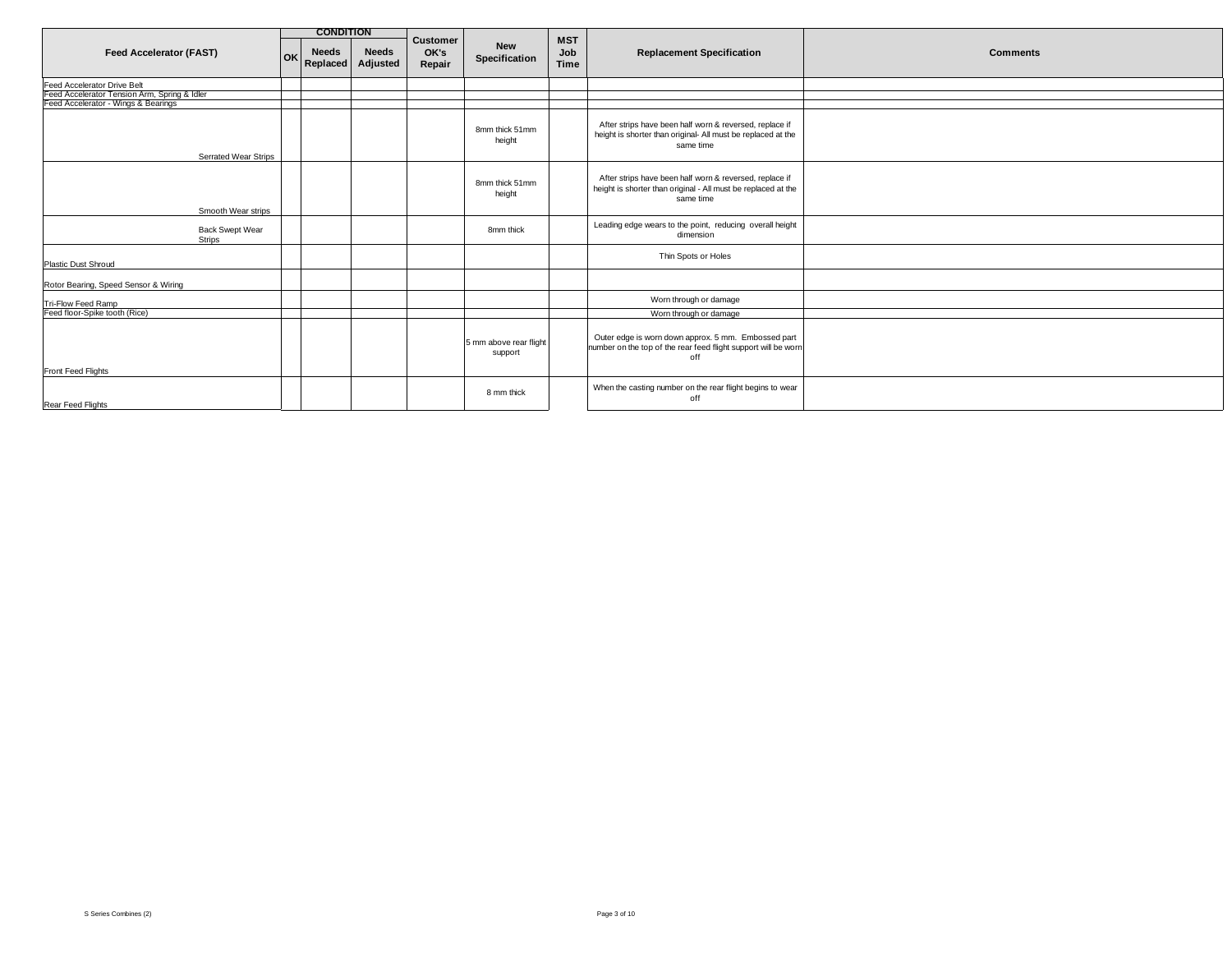|                                                                                     |           | <b>CONDITION</b>         |                          |                                   |                                   |                           |                                                                                                                                       |                 |
|-------------------------------------------------------------------------------------|-----------|--------------------------|--------------------------|-----------------------------------|-----------------------------------|---------------------------|---------------------------------------------------------------------------------------------------------------------------------------|-----------------|
| <b>Feed Accelerator (FAST)</b>                                                      | <b>OK</b> | <b>Needs</b><br>Replaced | <b>Needs</b><br>Adjusted | <b>Customer</b><br>OK's<br>Repair | <b>New</b><br>Specification       | <b>MST</b><br>Job<br>Time | <b>Replacement Specification</b>                                                                                                      | <b>Comments</b> |
| Feed Accelerator Drive Belt                                                         |           |                          |                          |                                   |                                   |                           |                                                                                                                                       |                 |
| Feed Accelerator Tension Arm, Spring & Idler<br>Feed Accelerator - Wings & Bearings |           |                          |                          |                                   |                                   |                           |                                                                                                                                       |                 |
|                                                                                     |           |                          |                          |                                   |                                   |                           |                                                                                                                                       |                 |
| <b>Serrated Wear Strips</b>                                                         |           |                          |                          |                                   | 8mm thick 51mm<br>height          |                           | After strips have been half worn & reversed, replace if<br>height is shorter than original- All must be replaced at the<br>same time  |                 |
|                                                                                     |           |                          |                          |                                   |                                   |                           |                                                                                                                                       |                 |
| Smooth Wear strips                                                                  |           |                          |                          |                                   | 8mm thick 51mm<br>height          |                           | After strips have been half worn & reversed, replace if<br>height is shorter than original - All must be replaced at the<br>same time |                 |
|                                                                                     |           |                          |                          |                                   |                                   |                           |                                                                                                                                       |                 |
| <b>Back Swept Wear</b><br>Strips                                                    |           |                          |                          |                                   | 8mm thick                         |                           | Leading edge wears to the point, reducing overall height<br>dimension                                                                 |                 |
| <b>Plastic Dust Shroud</b>                                                          |           |                          |                          |                                   |                                   |                           | Thin Spots or Holes                                                                                                                   |                 |
| Rotor Bearing, Speed Sensor & Wiring                                                |           |                          |                          |                                   |                                   |                           |                                                                                                                                       |                 |
| Tri-Flow Feed Ramp                                                                  |           |                          |                          |                                   |                                   |                           | Worn through or damage                                                                                                                |                 |
| Feed floor-Spike tooth (Rice)                                                       |           |                          |                          |                                   |                                   |                           | Worn through or damage                                                                                                                |                 |
| Front Feed Flights                                                                  |           |                          |                          |                                   | 5 mm above rear flight<br>support |                           | Outer edge is worn down approx. 5 mm. Embossed part<br>number on the top of the rear feed flight support will be worn<br>off          |                 |
| Rear Feed Flights                                                                   |           |                          |                          |                                   | 8 mm thick                        |                           | When the casting number on the rear flight begins to wear<br>off                                                                      |                 |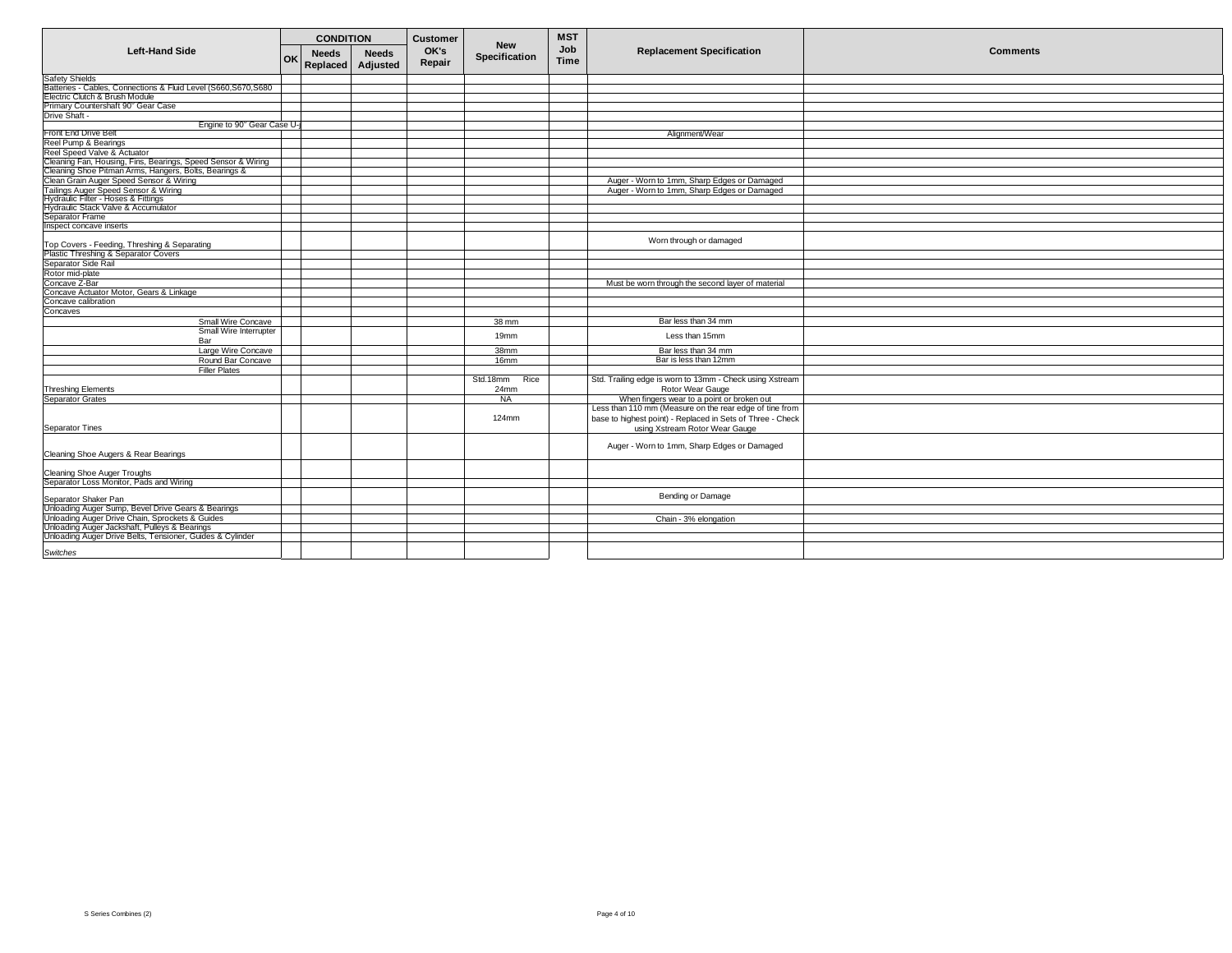|                                                                                      |    | <b>CONDITION</b>         |                          | <b>Customer</b> | <b>New</b>       | <b>MST</b>         |                                                            |                 |
|--------------------------------------------------------------------------------------|----|--------------------------|--------------------------|-----------------|------------------|--------------------|------------------------------------------------------------|-----------------|
| <b>Left-Hand Side</b>                                                                | OK | <b>Needs</b><br>Replaced | <b>Needs</b><br>Adjusted | OK's<br>Repair  | Specification    | Job<br><b>Time</b> | <b>Replacement Specification</b>                           | <b>Comments</b> |
| <b>Safety Shields</b>                                                                |    |                          |                          |                 |                  |                    |                                                            |                 |
| Batteries - Cables, Connections & Fluid Level (S660, S670, S680                      |    |                          |                          |                 |                  |                    |                                                            |                 |
| Electric Clutch & Brush Module                                                       |    |                          |                          |                 |                  |                    |                                                            |                 |
| Primary Countershaft 90° Gear Case                                                   |    |                          |                          |                 |                  |                    |                                                            |                 |
| Drive Shaft -                                                                        |    |                          |                          |                 |                  |                    |                                                            |                 |
| Engine to 90° Gear Case U-                                                           |    |                          |                          |                 |                  |                    |                                                            |                 |
| Front End Drive Belt                                                                 |    |                          |                          |                 |                  |                    | Alignment/Wear                                             |                 |
| Reel Pump & Bearings                                                                 |    |                          |                          |                 |                  |                    |                                                            |                 |
| Reel Speed Valve & Actuator                                                          |    |                          |                          |                 |                  |                    |                                                            |                 |
| Cleaning Fan, Housing, Fins, Bearings, Speed Sensor & Wiring                         |    |                          |                          |                 |                  |                    |                                                            |                 |
| Cleaning Shoe Pitman Arms, Hangers, Bolts, Bearings &                                |    |                          |                          |                 |                  |                    |                                                            |                 |
| Clean Grain Auger Speed Sensor & Wiring                                              |    |                          |                          |                 |                  |                    | Auger - Worn to 1mm, Sharp Edges or Damaged                |                 |
| Tailings Auger Speed Sensor & Wiring<br>Hydraulic Filter - Hoses & Fittings          |    |                          |                          |                 |                  |                    | Auger - Worn to 1mm, Sharp Edges or Damaged                |                 |
|                                                                                      |    |                          |                          |                 |                  |                    |                                                            |                 |
| Hydraulic Stack Valve & Accumulator                                                  |    |                          |                          |                 |                  |                    |                                                            |                 |
| Separator Frame                                                                      |    |                          |                          |                 |                  |                    |                                                            |                 |
| Inspect concave inserts                                                              |    |                          |                          |                 |                  |                    |                                                            |                 |
|                                                                                      |    |                          |                          |                 |                  |                    | Worn through or damaged                                    |                 |
| Top Covers - Feeding, Threshing & Separating<br>Plastic Threshing & Separator Covers |    |                          |                          |                 |                  |                    |                                                            |                 |
| Separator Side Rail                                                                  |    |                          |                          |                 |                  |                    |                                                            |                 |
| Rotor mid-plate                                                                      |    |                          |                          |                 |                  |                    |                                                            |                 |
| Concave Z-Bar                                                                        |    |                          |                          |                 |                  |                    | Must be worn through the second layer of material          |                 |
| Concave Actuator Motor, Gears & Linkage                                              |    |                          |                          |                 |                  |                    |                                                            |                 |
| Concave calibration                                                                  |    |                          |                          |                 |                  |                    |                                                            |                 |
| Concaves                                                                             |    |                          |                          |                 |                  |                    |                                                            |                 |
| Small Wire Concave                                                                   |    |                          |                          |                 | 38 mm            |                    | Bar less than 34 mm                                        |                 |
| Small Wire Interrupter                                                               |    |                          |                          |                 |                  |                    |                                                            |                 |
| Bar                                                                                  |    |                          |                          |                 | 19mm             |                    | Less than 15mm                                             |                 |
| Large Wire Concave                                                                   |    |                          |                          |                 | 38mm             |                    | Bar less than 34 mm                                        |                 |
|                                                                                      |    |                          |                          |                 | 16 <sub>mm</sub> |                    | Bar is less than 12mm                                      |                 |
| Round Bar Concave<br><b>Filler Plates</b>                                            |    |                          |                          |                 |                  |                    |                                                            |                 |
|                                                                                      |    |                          |                          |                 | Std.18mm         |                    | Std. Trailing edge is worn to 13mm - Check using Xstream   |                 |
|                                                                                      |    |                          |                          |                 | Rice             |                    |                                                            |                 |
| <b>Threshing Elements</b>                                                            |    |                          |                          |                 | 24mm             |                    | Rotor Wear Gauge                                           |                 |
| <b>Separator Grates</b>                                                              |    |                          |                          |                 | <b>NA</b>        |                    | When fingers wear to a point or broken out                 |                 |
|                                                                                      |    |                          |                          |                 |                  |                    | Less than 110 mm (Measure on the rear edge of tine from    |                 |
|                                                                                      |    |                          |                          |                 | $124$ mm         |                    | base to highest point) - Replaced in Sets of Three - Check |                 |
| <b>Separator Tines</b>                                                               |    |                          |                          |                 |                  |                    | using Xstream Rotor Wear Gauge                             |                 |
|                                                                                      |    |                          |                          |                 |                  |                    |                                                            |                 |
| Cleaning Shoe Augers & Rear Bearings                                                 |    |                          |                          |                 |                  |                    | Auger - Worn to 1mm, Sharp Edges or Damaged                |                 |
|                                                                                      |    |                          |                          |                 |                  |                    |                                                            |                 |
| Cleaning Shoe Auger Troughs<br>Separator Loss Monitor, Pads and Wiring               |    |                          |                          |                 |                  |                    |                                                            |                 |
|                                                                                      |    |                          |                          |                 |                  |                    |                                                            |                 |
| Separator Shaker Pan                                                                 |    |                          |                          |                 |                  |                    | Bending or Damage                                          |                 |
| Unloading Auger Sump, Bevel Drive Gears & Bearings                                   |    |                          |                          |                 |                  |                    |                                                            |                 |
| Unloading Auger Drive Chain, Sprockets & Guides                                      |    |                          |                          |                 |                  |                    | Chain - 3% elongation                                      |                 |
| Unloading Auger Jackshaft, Pulleys & Bearings                                        |    |                          |                          |                 |                  |                    |                                                            |                 |
| Unloading Auger Drive Belts, Tensioner, Guides & Cylinder                            |    |                          |                          |                 |                  |                    |                                                            |                 |
| Switches                                                                             |    |                          |                          |                 |                  |                    |                                                            |                 |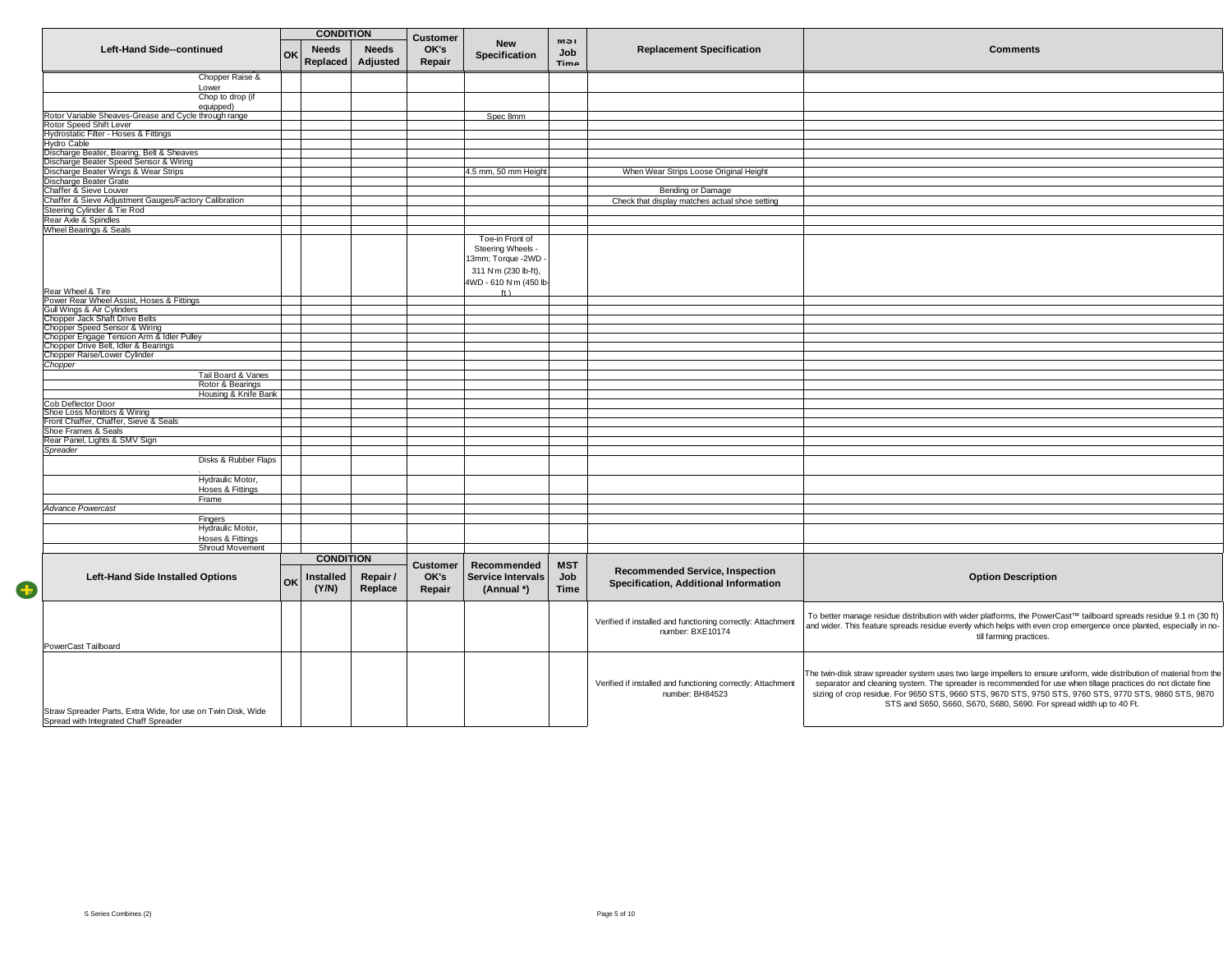|                                                                                                       |    | <b>CONDITION</b>         |                          | Customer        |                                        | <b>IVI</b> 5 I     |                                                                                 |                                                                                                                                                                                                                                                                                                                                                                                                                          |
|-------------------------------------------------------------------------------------------------------|----|--------------------------|--------------------------|-----------------|----------------------------------------|--------------------|---------------------------------------------------------------------------------|--------------------------------------------------------------------------------------------------------------------------------------------------------------------------------------------------------------------------------------------------------------------------------------------------------------------------------------------------------------------------------------------------------------------------|
| Left-Hand Side--continued                                                                             | OK | <b>Needs</b><br>Replaced | <b>Needs</b><br>Adjusted | OK's<br>Repair  | <b>New</b><br>Specification            | Job<br>Timo        | <b>Replacement Specification</b>                                                | <b>Comments</b>                                                                                                                                                                                                                                                                                                                                                                                                          |
| Chopper Raise &                                                                                       |    |                          |                          |                 |                                        |                    |                                                                                 |                                                                                                                                                                                                                                                                                                                                                                                                                          |
| Lower<br>Chop to drop (if                                                                             |    |                          |                          |                 |                                        |                    |                                                                                 |                                                                                                                                                                                                                                                                                                                                                                                                                          |
| equipped)                                                                                             |    |                          |                          |                 |                                        |                    |                                                                                 |                                                                                                                                                                                                                                                                                                                                                                                                                          |
| Rotor Variable Sheaves-Grease and Cycle through range                                                 |    |                          |                          |                 | Spec 8mm                               |                    |                                                                                 |                                                                                                                                                                                                                                                                                                                                                                                                                          |
| Rotor Speed Shift Lever<br>Hydrostatic Filter - Hoses & Fittings                                      |    |                          |                          |                 |                                        |                    |                                                                                 |                                                                                                                                                                                                                                                                                                                                                                                                                          |
| Hydro Cable                                                                                           |    |                          |                          |                 |                                        |                    |                                                                                 |                                                                                                                                                                                                                                                                                                                                                                                                                          |
| Discharge Beater, Bearing, Belt & Sheaves                                                             |    |                          |                          |                 |                                        |                    |                                                                                 |                                                                                                                                                                                                                                                                                                                                                                                                                          |
| Discharge Beater Speed Sensor & Wiring<br>Discharge Beater Wings & Wear Strips                        |    |                          |                          |                 | 4.5 mm, 50 mm Height                   |                    | When Wear Strips Loose Original Height                                          |                                                                                                                                                                                                                                                                                                                                                                                                                          |
| Discharge Beater Grate                                                                                |    |                          |                          |                 |                                        |                    |                                                                                 |                                                                                                                                                                                                                                                                                                                                                                                                                          |
| Chaffer & Sieve Louver                                                                                |    |                          |                          |                 |                                        |                    | Bending or Damage                                                               |                                                                                                                                                                                                                                                                                                                                                                                                                          |
| Chaffer & Sieve Adjustment Gauges/Factory Calibration                                                 |    |                          |                          |                 |                                        |                    | Check that display matches actual shoe setting                                  |                                                                                                                                                                                                                                                                                                                                                                                                                          |
| Steering Cylinder & Tie Rod                                                                           |    |                          |                          |                 |                                        |                    |                                                                                 |                                                                                                                                                                                                                                                                                                                                                                                                                          |
| Rear Axle & Spindles<br>Wheel Bearings & Seals                                                        |    |                          |                          |                 |                                        |                    |                                                                                 |                                                                                                                                                                                                                                                                                                                                                                                                                          |
|                                                                                                       |    |                          |                          |                 | Toe-in Front of                        |                    |                                                                                 |                                                                                                                                                                                                                                                                                                                                                                                                                          |
|                                                                                                       |    |                          |                          |                 | Steering Wheels -                      |                    |                                                                                 |                                                                                                                                                                                                                                                                                                                                                                                                                          |
|                                                                                                       |    |                          |                          |                 | 3mm; Torque -2WD                       |                    |                                                                                 |                                                                                                                                                                                                                                                                                                                                                                                                                          |
|                                                                                                       |    |                          |                          |                 | 311 N'm (230 lb-ft),                   |                    |                                                                                 |                                                                                                                                                                                                                                                                                                                                                                                                                          |
|                                                                                                       |    |                          |                          |                 | 4WD - 610 N'm (450 lb                  |                    |                                                                                 |                                                                                                                                                                                                                                                                                                                                                                                                                          |
| Rear Wheel & Tire<br>Power Rear Wheel Assist, Hoses & Fittings                                        |    |                          |                          |                 | ft)                                    |                    |                                                                                 |                                                                                                                                                                                                                                                                                                                                                                                                                          |
| Gull Wings & Air Cylinders                                                                            |    |                          |                          |                 |                                        |                    |                                                                                 |                                                                                                                                                                                                                                                                                                                                                                                                                          |
| Chopper Jack Shaft Drive Belts                                                                        |    |                          |                          |                 |                                        |                    |                                                                                 |                                                                                                                                                                                                                                                                                                                                                                                                                          |
| Chopper Speed Sensor & Wiring                                                                         |    |                          |                          |                 |                                        |                    |                                                                                 |                                                                                                                                                                                                                                                                                                                                                                                                                          |
| Chopper Engage Tension Arm & Idler Pulley<br>Chopper Drive Belt, Idler & Bearings                     |    |                          |                          |                 |                                        |                    |                                                                                 |                                                                                                                                                                                                                                                                                                                                                                                                                          |
| Chopper Raise/Lower Cylinder                                                                          |    |                          |                          |                 |                                        |                    |                                                                                 |                                                                                                                                                                                                                                                                                                                                                                                                                          |
| Chopper                                                                                               |    |                          |                          |                 |                                        |                    |                                                                                 |                                                                                                                                                                                                                                                                                                                                                                                                                          |
| Tail Board & Vanes                                                                                    |    |                          |                          |                 |                                        |                    |                                                                                 |                                                                                                                                                                                                                                                                                                                                                                                                                          |
| Rotor & Bearings<br>Housing & Knife Bank                                                              |    |                          |                          |                 |                                        |                    |                                                                                 |                                                                                                                                                                                                                                                                                                                                                                                                                          |
| Cob Deflector Door                                                                                    |    |                          |                          |                 |                                        |                    |                                                                                 |                                                                                                                                                                                                                                                                                                                                                                                                                          |
| Shoe Loss Monitors & Wiring                                                                           |    |                          |                          |                 |                                        |                    |                                                                                 |                                                                                                                                                                                                                                                                                                                                                                                                                          |
| Front Chaffer, Chaffer, Sieve & Seals                                                                 |    |                          |                          |                 |                                        |                    |                                                                                 |                                                                                                                                                                                                                                                                                                                                                                                                                          |
| Shoe Frames & Seals<br>Rear Panel, Lights & SMV Sign                                                  |    |                          |                          |                 |                                        |                    |                                                                                 |                                                                                                                                                                                                                                                                                                                                                                                                                          |
| Spreader                                                                                              |    |                          |                          |                 |                                        |                    |                                                                                 |                                                                                                                                                                                                                                                                                                                                                                                                                          |
| Disks & Rubber Flaps                                                                                  |    |                          |                          |                 |                                        |                    |                                                                                 |                                                                                                                                                                                                                                                                                                                                                                                                                          |
| Hydraulic Motor,<br>Hoses & Fittings                                                                  |    |                          |                          |                 |                                        |                    |                                                                                 |                                                                                                                                                                                                                                                                                                                                                                                                                          |
| Frame                                                                                                 |    |                          |                          |                 |                                        |                    |                                                                                 |                                                                                                                                                                                                                                                                                                                                                                                                                          |
| Advance Powercast                                                                                     |    |                          |                          |                 |                                        |                    |                                                                                 |                                                                                                                                                                                                                                                                                                                                                                                                                          |
| Fingers                                                                                               |    |                          |                          |                 |                                        |                    |                                                                                 |                                                                                                                                                                                                                                                                                                                                                                                                                          |
| Hydraulic Motor,<br>Hoses & Fittings                                                                  |    |                          |                          |                 |                                        |                    |                                                                                 |                                                                                                                                                                                                                                                                                                                                                                                                                          |
| Shroud Movement                                                                                       |    |                          |                          |                 |                                        |                    |                                                                                 |                                                                                                                                                                                                                                                                                                                                                                                                                          |
|                                                                                                       |    | <b>CONDITION</b>         |                          |                 |                                        |                    |                                                                                 |                                                                                                                                                                                                                                                                                                                                                                                                                          |
|                                                                                                       |    |                          |                          | <b>Customer</b> | Recommended                            | <b>MST</b>         | <b>Recommended Service, Inspection</b>                                          |                                                                                                                                                                                                                                                                                                                                                                                                                          |
| <b>Left-Hand Side Installed Options</b>                                                               | OK | Installed<br>(Y/N)       | Repair /<br>Replace      | OK's<br>Repair  | <b>Service Intervals</b><br>(Annual *) | Job<br><b>Time</b> | Specification, Additional Information                                           | <b>Option Description</b>                                                                                                                                                                                                                                                                                                                                                                                                |
| PowerCast Tailboard                                                                                   |    |                          |                          |                 |                                        |                    | Verified if installed and functioning correctly: Attachment<br>number: BXE10174 | To better manage residue distribution with wider platforms, the PowerCast™ tailboard spreads residue 9.1 m (30 ft)<br>and wider. This feature spreads residue evenly which helps with even crop emergence once planted, especially in no-<br>till farming practices.                                                                                                                                                     |
| Straw Spreader Parts, Extra Wide, for use on Twin Disk, Wide<br>Spread with Integrated Chaff Spreader |    |                          |                          |                 |                                        |                    | Verified if installed and functioning correctly: Attachment<br>number: BH84523  | The twin-disk straw spreader system uses two large impellers to ensure uniform, wide distribution of material from the<br>separator and cleaning system. The spreader is recommended for use when tillage practices do not dictate fine<br>sizing of crop residue. For 9650 STS, 9660 STS, 9670 STS, 9750 STS, 9760 STS, 9770 STS, 9860 STS, 9870<br>STS and S650, S660, S670, S680, S690. For spread width up to 40 Ft. |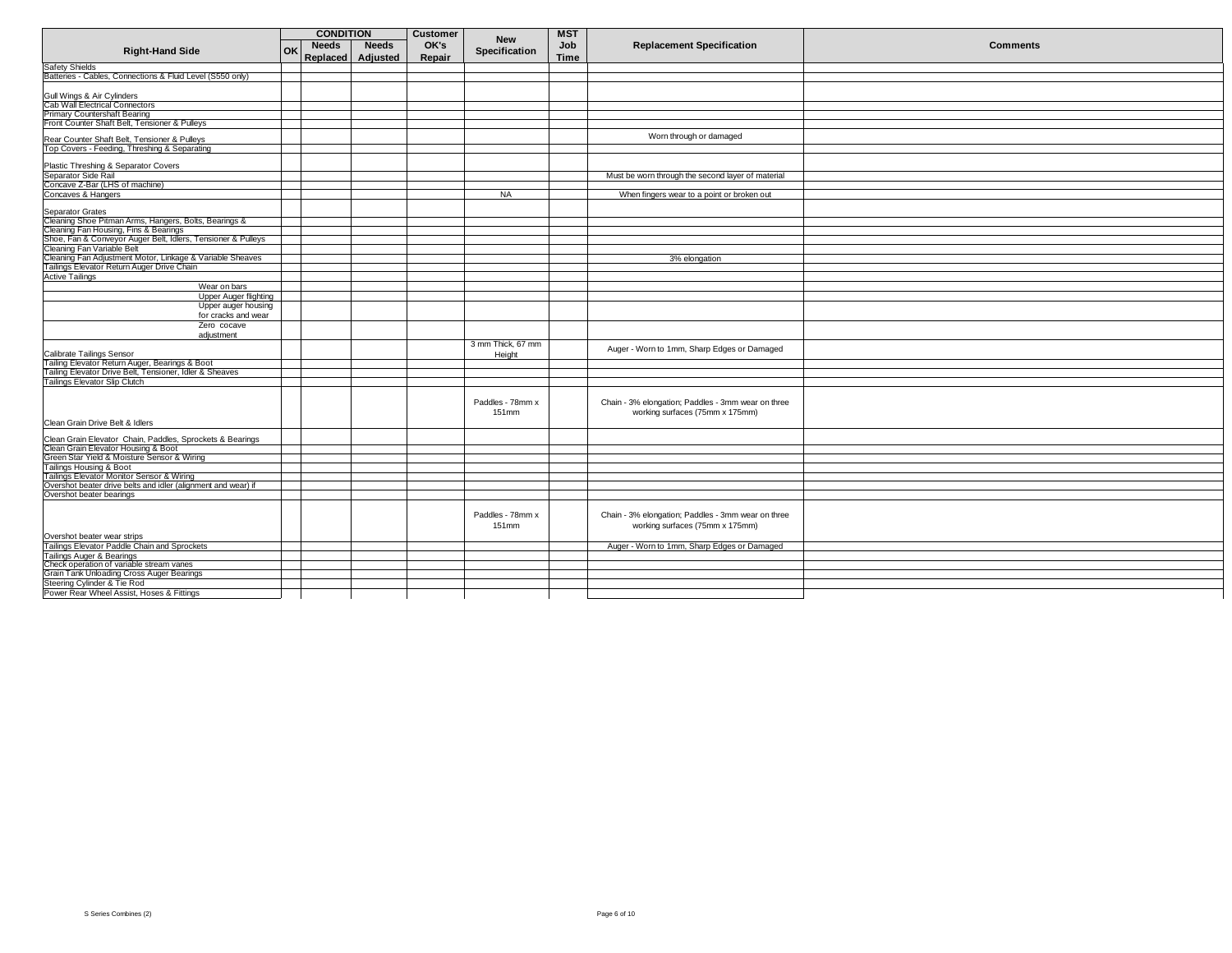|                                                                                                                                                 | <b>CONDITION</b>                   | Customer | <b>New</b>        | <b>MST</b>  |                                                    |                 |
|-------------------------------------------------------------------------------------------------------------------------------------------------|------------------------------------|----------|-------------------|-------------|----------------------------------------------------|-----------------|
| <b>Right-Hand Side</b>                                                                                                                          | <b>Needs</b><br><b>Needs</b><br>OK | OK's     | Specification     | Job         | <b>Replacement Specification</b>                   | <b>Comments</b> |
|                                                                                                                                                 | Replaced Adjusted                  | Repair   |                   | <b>Time</b> |                                                    |                 |
| <b>Safety Shields</b>                                                                                                                           |                                    |          |                   |             |                                                    |                 |
| Batteries - Cables, Connections & Fluid Level (S550 only)                                                                                       |                                    |          |                   |             |                                                    |                 |
|                                                                                                                                                 |                                    |          |                   |             |                                                    |                 |
| Gull Wings & Air Cylinders                                                                                                                      |                                    |          |                   |             |                                                    |                 |
| Cab Wall Electrical Connectors                                                                                                                  |                                    |          |                   |             |                                                    |                 |
| <b>Primary Countershaft Bearing</b>                                                                                                             |                                    |          |                   |             |                                                    |                 |
| Front Counter Shaft Belt, Tensioner & Pulleys                                                                                                   |                                    |          |                   |             |                                                    |                 |
|                                                                                                                                                 |                                    |          |                   |             | Worn through or damaged                            |                 |
| Rear Counter Shaft Belt, Tensioner & Pulleys<br>Top Covers - Feeding, Threshing & Separating                                                    |                                    |          |                   |             |                                                    |                 |
|                                                                                                                                                 |                                    |          |                   |             |                                                    |                 |
| Plastic Threshing & Separator Covers                                                                                                            |                                    |          |                   |             |                                                    |                 |
| Separator Side Rail                                                                                                                             |                                    |          |                   |             | Must be worn through the second layer of material  |                 |
| Concave Z-Bar (LHS of machine)                                                                                                                  |                                    |          |                   |             |                                                    |                 |
| Concaves & Hangers                                                                                                                              |                                    |          | <b>NA</b>         |             | When fingers wear to a point or broken out         |                 |
|                                                                                                                                                 |                                    |          |                   |             |                                                    |                 |
| Separator Grates                                                                                                                                |                                    |          |                   |             |                                                    |                 |
| Cleaning Shoe Pitman Arms, Hangers, Bolts, Bearings &                                                                                           |                                    |          |                   |             |                                                    |                 |
| Cleaning Fan Housing, Fins & Bearings                                                                                                           |                                    |          |                   |             |                                                    |                 |
| Shoe, Fan & Conveyor Auger Belt, Idlers, Tensioner & Pulleys                                                                                    |                                    |          |                   |             |                                                    |                 |
| Cleaning Fan Variable Belt                                                                                                                      |                                    |          |                   |             |                                                    |                 |
| Cleaning Fan Adjustment Motor, Linkage & Variable Sheaves<br>Tailings Elevator Return Auger Drive Chain                                         |                                    |          |                   |             | 3% elongation                                      |                 |
|                                                                                                                                                 |                                    |          |                   |             |                                                    |                 |
| <b>Active Tailings</b>                                                                                                                          |                                    |          |                   |             |                                                    |                 |
| Wear on bars                                                                                                                                    |                                    |          |                   |             |                                                    |                 |
| Upper Auger flighting                                                                                                                           |                                    |          |                   |             |                                                    |                 |
| Upper auger housing                                                                                                                             |                                    |          |                   |             |                                                    |                 |
| for cracks and wear                                                                                                                             |                                    |          |                   |             |                                                    |                 |
| Zero cocave                                                                                                                                     |                                    |          |                   |             |                                                    |                 |
| adiustment                                                                                                                                      |                                    |          |                   |             |                                                    |                 |
|                                                                                                                                                 |                                    |          | 3 mm Thick, 67 mm |             | Auger - Worn to 1mm, Sharp Edges or Damaged        |                 |
| Calibrate Tailings Sensor                                                                                                                       |                                    |          | Height            |             |                                                    |                 |
| Tailing Elevator Return Auger, Bearings & Boot                                                                                                  |                                    |          |                   |             |                                                    |                 |
| Tailing Elevator Drive Belt, Tensioner, Idler & Sheaves                                                                                         |                                    |          |                   |             |                                                    |                 |
| <b>Tailings Elevator Slip Clutch</b>                                                                                                            |                                    |          |                   |             |                                                    |                 |
|                                                                                                                                                 |                                    |          |                   |             |                                                    |                 |
|                                                                                                                                                 |                                    |          | Paddles - 78mm x  |             | Chain - 3% elongation; Paddles - 3mm wear on three |                 |
|                                                                                                                                                 |                                    |          | 151mm             |             | working surfaces (75mm x 175mm)                    |                 |
| Clean Grain Drive Belt & Idlers                                                                                                                 |                                    |          |                   |             |                                                    |                 |
|                                                                                                                                                 |                                    |          |                   |             |                                                    |                 |
|                                                                                                                                                 |                                    |          |                   |             |                                                    |                 |
| Clean Grain Elevator Chain, Paddles, Sprockets & Bearings<br>Clean Grain Elevator Housing & Boot<br>Green Star Yield & Moisture Sensor & Wiring |                                    |          |                   |             |                                                    |                 |
|                                                                                                                                                 |                                    |          |                   |             |                                                    |                 |
| Tailings Housing & Boot                                                                                                                         |                                    |          |                   |             |                                                    |                 |
| Tailings Tudaing & Doctor<br>Tailings Elevator Monitor Sensor & Wiring<br>Overshot beater drive belts and idler (alignment and wear) if         |                                    |          |                   |             |                                                    |                 |
|                                                                                                                                                 |                                    |          |                   |             |                                                    |                 |
| Overshot beater bearings                                                                                                                        |                                    |          |                   |             |                                                    |                 |
|                                                                                                                                                 |                                    |          |                   |             |                                                    |                 |
|                                                                                                                                                 |                                    |          | Paddles - 78mm x  |             | Chain - 3% elongation; Paddles - 3mm wear on three |                 |
|                                                                                                                                                 |                                    |          | 151mm             |             | working surfaces (75mm x 175mm)                    |                 |
| Overshot beater wear strips                                                                                                                     |                                    |          |                   |             |                                                    |                 |
| Tailings Elevator Paddle Chain and Sprockets                                                                                                    |                                    |          |                   |             | Auger - Worn to 1mm, Sharp Edges or Damaged        |                 |
| Tailings Auger & Bearings                                                                                                                       |                                    |          |                   |             |                                                    |                 |
| Check operation of variable stream vanes                                                                                                        |                                    |          |                   |             |                                                    |                 |
| Grain Tank Unloading Cross Auger Bearings                                                                                                       |                                    |          |                   |             |                                                    |                 |
| Steering Cylinder & Tie Rod                                                                                                                     |                                    |          |                   |             |                                                    |                 |
| Power Rear Wheel Assist, Hoses & Fittings                                                                                                       |                                    |          |                   |             |                                                    |                 |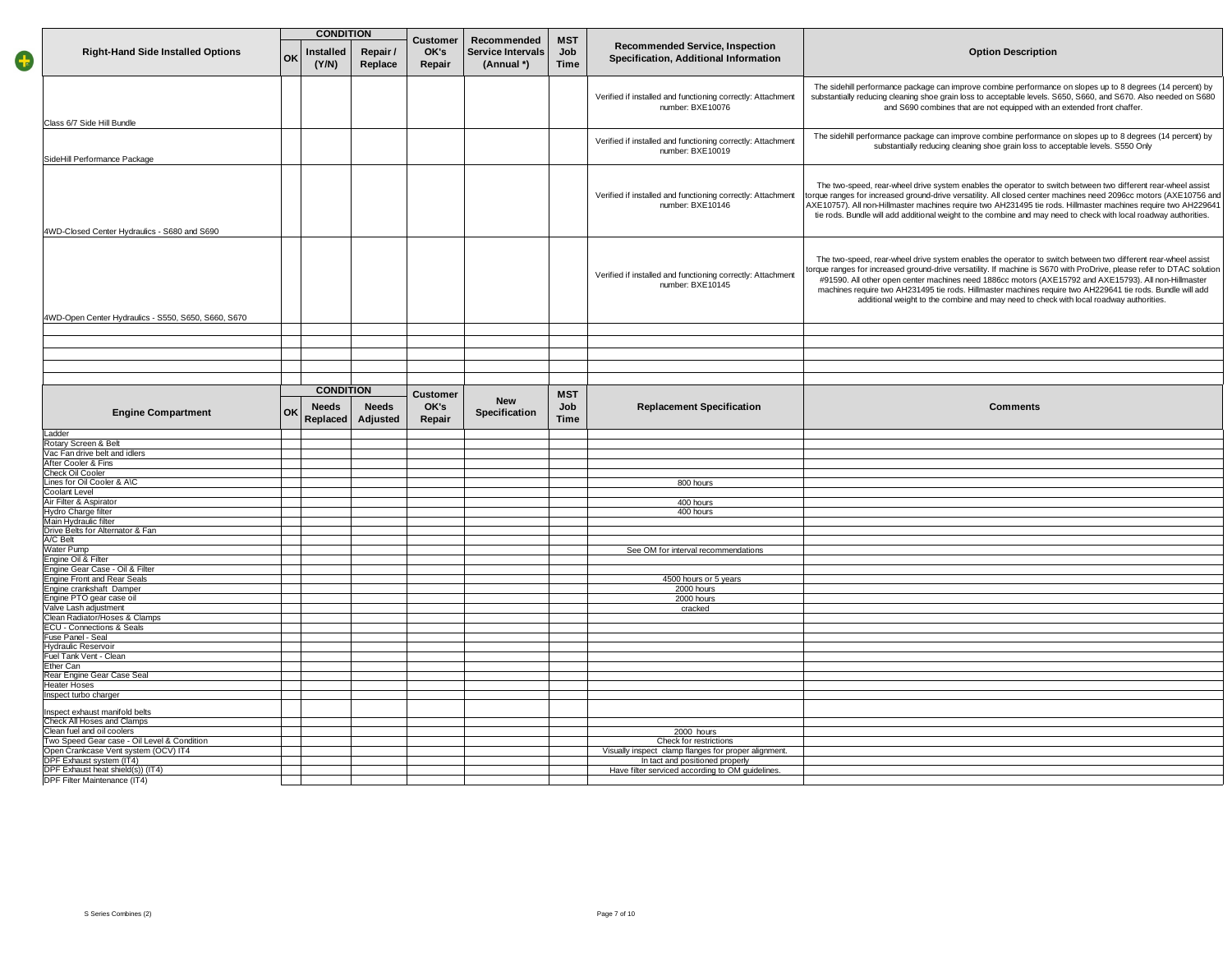|   |                                                                   |    | <b>CONDITION</b>                                     |                                   |                                                |                                  |                                                                                 |                                                                                                                                                                                                                                                                                                                                                                                                                                                                                                                                                        |
|---|-------------------------------------------------------------------|----|------------------------------------------------------|-----------------------------------|------------------------------------------------|----------------------------------|---------------------------------------------------------------------------------|--------------------------------------------------------------------------------------------------------------------------------------------------------------------------------------------------------------------------------------------------------------------------------------------------------------------------------------------------------------------------------------------------------------------------------------------------------------------------------------------------------------------------------------------------------|
| G | <b>Right-Hand Side Installed Options</b>                          | OK | nstalled<br>Repair /<br>(Y/N)<br>Replace             | <b>Customer</b><br>OK's<br>Repair | Recommended<br>Service Intervals<br>(Annual *) | <b>MST</b><br>Job<br><b>Time</b> | <b>Recommended Service, Inspection</b><br>Specification, Additional Information | <b>Option Description</b>                                                                                                                                                                                                                                                                                                                                                                                                                                                                                                                              |
|   | Class 6/7 Side Hill Bundle                                        |    |                                                      |                                   |                                                |                                  | Verified if installed and functioning correctly: Attachment<br>number: BXE10076 | The sidehill performance package can improve combine performance on slopes up to 8 degrees (14 percent) by<br>substantially reducing cleaning shoe grain loss to acceptable levels. S650, S660, and S670. Also needed on S680<br>and S690 combines that are not equipped with an extended front chaffer.                                                                                                                                                                                                                                               |
|   |                                                                   |    |                                                      |                                   |                                                |                                  | Verified if installed and functioning correctly: Attachment<br>number: BXE10019 | The sidehill performance package can improve combine performance on slopes up to 8 degrees (14 percent) by<br>substantially reducing cleaning shoe grain loss to acceptable levels. S550 Only                                                                                                                                                                                                                                                                                                                                                          |
|   | SideHill Performance Package                                      |    |                                                      |                                   |                                                |                                  |                                                                                 |                                                                                                                                                                                                                                                                                                                                                                                                                                                                                                                                                        |
|   | 4WD-Closed Center Hydraulics - S680 and S690                      |    |                                                      |                                   |                                                |                                  | Verified if installed and functioning correctly: Attachment<br>number: BXE10146 | The two-speed, rear-wheel drive system enables the operator to switch between two different rear-wheel assist<br>torque ranges for increased ground-drive versatility. All closed center machines need 2096cc motors (AXE10756 and<br>AXE10757). All non-Hillmaster machines require two AH231495 tie rods. Hillmaster machines require two AH229641<br>tie rods. Bundle will add additional weight to the combine and may need to check with local roadway authorities.                                                                               |
|   |                                                                   |    |                                                      |                                   |                                                |                                  |                                                                                 |                                                                                                                                                                                                                                                                                                                                                                                                                                                                                                                                                        |
|   | 4WD-Open Center Hydraulics - S550, S650, S660, S670               |    |                                                      |                                   |                                                |                                  | Verified if installed and functioning correctly: Attachment<br>number: BXE10145 | The two-speed, rear-wheel drive system enables the operator to switch between two different rear-wheel assist<br>orque ranges for increased ground-drive versatility. If machine is S670 with ProDrive, please refer to DTAC solution<br>#91590. All other open center machines need 1886cc motors (AXE15792 and AXE15793). All non-Hillmaster<br>machines require two AH231495 tie rods. Hillmaster machines require two AH229641 tie rods. Bundle will add<br>additional weight to the combine and may need to check with local roadway authorities. |
|   |                                                                   |    |                                                      |                                   |                                                |                                  |                                                                                 |                                                                                                                                                                                                                                                                                                                                                                                                                                                                                                                                                        |
|   |                                                                   |    |                                                      |                                   |                                                |                                  |                                                                                 |                                                                                                                                                                                                                                                                                                                                                                                                                                                                                                                                                        |
|   |                                                                   |    |                                                      |                                   |                                                |                                  |                                                                                 |                                                                                                                                                                                                                                                                                                                                                                                                                                                                                                                                                        |
|   |                                                                   |    |                                                      |                                   |                                                |                                  |                                                                                 |                                                                                                                                                                                                                                                                                                                                                                                                                                                                                                                                                        |
|   |                                                                   |    |                                                      |                                   |                                                |                                  |                                                                                 |                                                                                                                                                                                                                                                                                                                                                                                                                                                                                                                                                        |
|   |                                                                   |    | <b>CONDITION</b>                                     |                                   |                                                |                                  |                                                                                 |                                                                                                                                                                                                                                                                                                                                                                                                                                                                                                                                                        |
|   | <b>Engine Compartment</b>                                         | ΟK | <b>Needs</b><br><b>Needs</b><br>Replaced<br>Adjusted | <b>Customer</b><br>OK's<br>Repair | <b>New</b><br>Specification                    | <b>MST</b><br>Job<br><b>Time</b> | <b>Replacement Specification</b>                                                | <b>Comments</b>                                                                                                                                                                                                                                                                                                                                                                                                                                                                                                                                        |
|   | Ladder                                                            |    |                                                      |                                   |                                                |                                  |                                                                                 |                                                                                                                                                                                                                                                                                                                                                                                                                                                                                                                                                        |
|   | Rotary Screen & Belt                                              |    |                                                      |                                   |                                                |                                  |                                                                                 |                                                                                                                                                                                                                                                                                                                                                                                                                                                                                                                                                        |
|   | Vac Fan drive belt and idlers                                     |    |                                                      |                                   |                                                |                                  |                                                                                 |                                                                                                                                                                                                                                                                                                                                                                                                                                                                                                                                                        |
|   | After Cooler & Fins                                               |    |                                                      |                                   |                                                |                                  |                                                                                 |                                                                                                                                                                                                                                                                                                                                                                                                                                                                                                                                                        |
|   | Check Oil Cooler                                                  |    |                                                      |                                   |                                                |                                  |                                                                                 |                                                                                                                                                                                                                                                                                                                                                                                                                                                                                                                                                        |
|   | Lines for Oil Cooler & A\C<br>Coolant Level                       |    |                                                      |                                   |                                                |                                  | 800 hours                                                                       |                                                                                                                                                                                                                                                                                                                                                                                                                                                                                                                                                        |
|   | Air Filter & Aspirator                                            |    |                                                      |                                   |                                                |                                  | 400 hours                                                                       |                                                                                                                                                                                                                                                                                                                                                                                                                                                                                                                                                        |
|   | Hydro Charge filter                                               |    |                                                      |                                   |                                                |                                  | 400 hours                                                                       |                                                                                                                                                                                                                                                                                                                                                                                                                                                                                                                                                        |
|   | Main Hydraulic filter                                             |    |                                                      |                                   |                                                |                                  |                                                                                 |                                                                                                                                                                                                                                                                                                                                                                                                                                                                                                                                                        |
|   | Drive Belts for Alternator & Fan<br>A/C Belt                      |    |                                                      |                                   |                                                |                                  |                                                                                 |                                                                                                                                                                                                                                                                                                                                                                                                                                                                                                                                                        |
|   | Water Pump                                                        |    |                                                      |                                   |                                                |                                  | See OM for interval recommendations                                             |                                                                                                                                                                                                                                                                                                                                                                                                                                                                                                                                                        |
|   | Engine Oil & Filter                                               |    |                                                      |                                   |                                                |                                  |                                                                                 |                                                                                                                                                                                                                                                                                                                                                                                                                                                                                                                                                        |
|   | Engine Gear Case - Oil & Filter                                   |    |                                                      |                                   |                                                |                                  |                                                                                 |                                                                                                                                                                                                                                                                                                                                                                                                                                                                                                                                                        |
|   | <b>Engine Front and Rear Seals</b>                                |    |                                                      |                                   |                                                |                                  | 4500 hours or 5 years                                                           |                                                                                                                                                                                                                                                                                                                                                                                                                                                                                                                                                        |
|   | Engine crankshaft Damper<br>Engine PTO gear case oil              |    |                                                      |                                   |                                                |                                  | 2000 hours<br>2000 hours                                                        |                                                                                                                                                                                                                                                                                                                                                                                                                                                                                                                                                        |
|   | Valve Lash adjustment                                             |    |                                                      |                                   |                                                |                                  | cracked                                                                         |                                                                                                                                                                                                                                                                                                                                                                                                                                                                                                                                                        |
|   | Clean Radiator/Hoses & Clamps                                     |    |                                                      |                                   |                                                |                                  |                                                                                 |                                                                                                                                                                                                                                                                                                                                                                                                                                                                                                                                                        |
|   | <b>ECU - Connections &amp; Seals</b>                              |    |                                                      |                                   |                                                |                                  |                                                                                 |                                                                                                                                                                                                                                                                                                                                                                                                                                                                                                                                                        |
|   | Fuse Panel - Seal                                                 |    |                                                      |                                   |                                                |                                  |                                                                                 |                                                                                                                                                                                                                                                                                                                                                                                                                                                                                                                                                        |
|   | <b>Hydraulic Reservoir</b><br>Fuel Tank Vent - Clean              |    |                                                      |                                   |                                                |                                  |                                                                                 |                                                                                                                                                                                                                                                                                                                                                                                                                                                                                                                                                        |
|   | Ether Can                                                         |    |                                                      |                                   |                                                |                                  |                                                                                 |                                                                                                                                                                                                                                                                                                                                                                                                                                                                                                                                                        |
|   | Rear Engine Gear Case Seal                                        |    |                                                      |                                   |                                                |                                  |                                                                                 |                                                                                                                                                                                                                                                                                                                                                                                                                                                                                                                                                        |
|   | Heater Hoses                                                      |    |                                                      |                                   |                                                |                                  |                                                                                 |                                                                                                                                                                                                                                                                                                                                                                                                                                                                                                                                                        |
|   | Inspect turbo charger                                             |    |                                                      |                                   |                                                |                                  |                                                                                 |                                                                                                                                                                                                                                                                                                                                                                                                                                                                                                                                                        |
|   | Inspect exhaust manifold belts<br>Check All Hoses and Clamps      |    |                                                      |                                   |                                                |                                  |                                                                                 |                                                                                                                                                                                                                                                                                                                                                                                                                                                                                                                                                        |
|   | Clean fuel and oil coolers                                        |    |                                                      |                                   |                                                |                                  | 2000 hours                                                                      |                                                                                                                                                                                                                                                                                                                                                                                                                                                                                                                                                        |
|   | Two Speed Gear case - Oil Level & Condition                       |    |                                                      |                                   |                                                |                                  |                                                                                 |                                                                                                                                                                                                                                                                                                                                                                                                                                                                                                                                                        |
|   |                                                                   |    |                                                      |                                   |                                                |                                  | Check for restrictions                                                          |                                                                                                                                                                                                                                                                                                                                                                                                                                                                                                                                                        |
|   | Open Crankcase Vent system (OCV) IT4                              |    |                                                      |                                   |                                                |                                  | Visually inspect clamp flanges for proper alignment.                            |                                                                                                                                                                                                                                                                                                                                                                                                                                                                                                                                                        |
|   | DPF Exhaust system (IT4)                                          |    |                                                      |                                   |                                                |                                  | In tact and positioned properly                                                 |                                                                                                                                                                                                                                                                                                                                                                                                                                                                                                                                                        |
|   | DPF Exhaust heat shield(s)) (IT4)<br>DPF Filter Maintenance (IT4) |    |                                                      |                                   |                                                |                                  | Have filter serviced according to OM guidelines.                                |                                                                                                                                                                                                                                                                                                                                                                                                                                                                                                                                                        |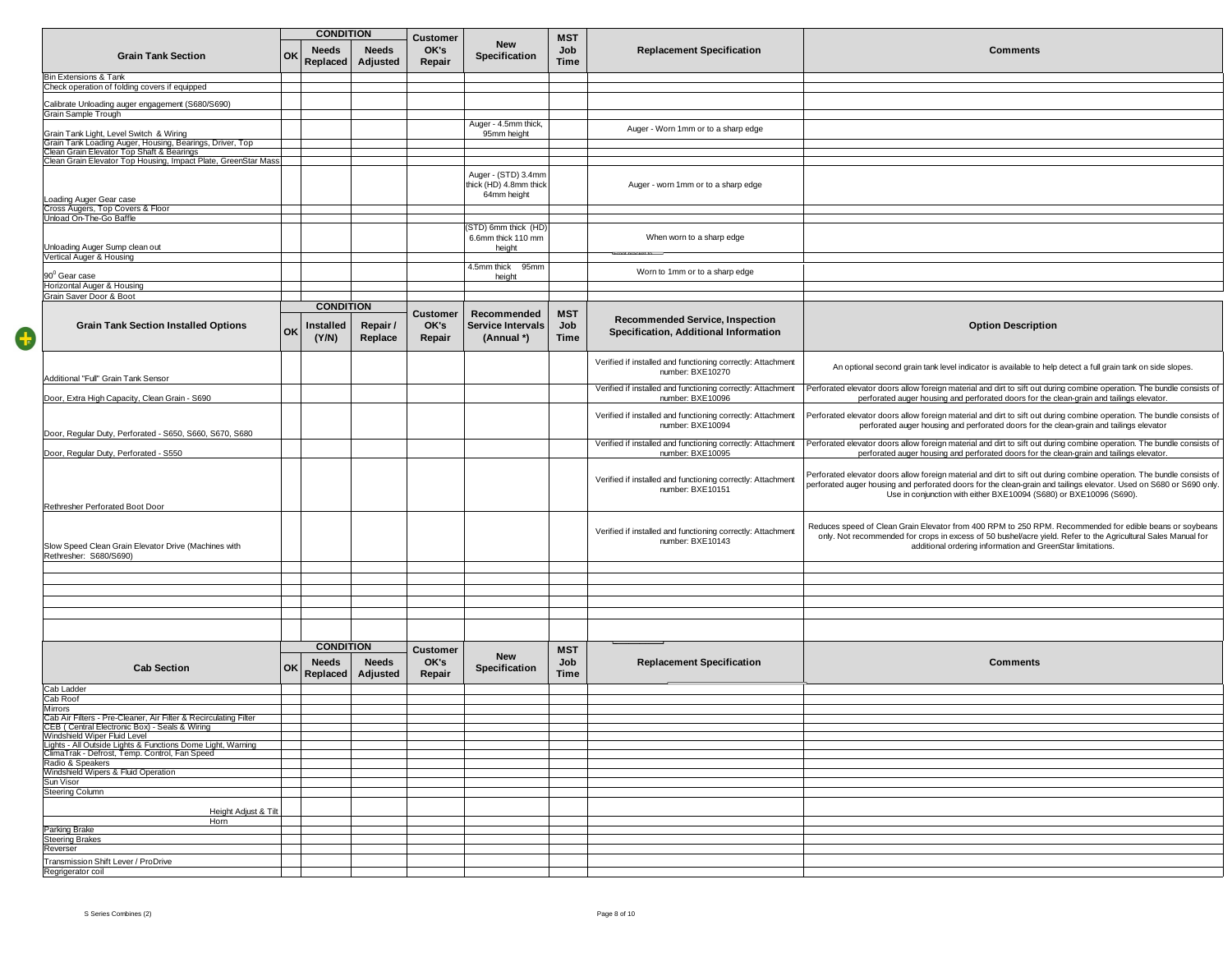|   | <b>CONDITION</b>                                                                                                                                 |    |                                              |                          |                                   |                                                              |                                  |                                                                                 |                                                                                                                                                                                                                                                                                                                     |
|---|--------------------------------------------------------------------------------------------------------------------------------------------------|----|----------------------------------------------|--------------------------|-----------------------------------|--------------------------------------------------------------|----------------------------------|---------------------------------------------------------------------------------|---------------------------------------------------------------------------------------------------------------------------------------------------------------------------------------------------------------------------------------------------------------------------------------------------------------------|
|   | <b>Grain Tank Section</b>                                                                                                                        | OK | <b>Needs</b><br>Replaced                     | <b>Needs</b><br>Adjusted | <b>Customer</b><br>OK's<br>Repair | <b>New</b><br>Specification                                  | <b>MST</b><br>Job<br>Time        | <b>Replacement Specification</b>                                                | <b>Comments</b>                                                                                                                                                                                                                                                                                                     |
|   | Bin Extensions & Tank                                                                                                                            |    |                                              |                          |                                   |                                                              |                                  |                                                                                 |                                                                                                                                                                                                                                                                                                                     |
|   | Check operation of folding covers if equipped                                                                                                    |    |                                              |                          |                                   |                                                              |                                  |                                                                                 |                                                                                                                                                                                                                                                                                                                     |
|   | Calibrate Unloading auger engagement (S680/S690)                                                                                                 |    |                                              |                          |                                   |                                                              |                                  |                                                                                 |                                                                                                                                                                                                                                                                                                                     |
|   | Grain Sample Trough                                                                                                                              |    |                                              |                          |                                   |                                                              |                                  |                                                                                 |                                                                                                                                                                                                                                                                                                                     |
|   |                                                                                                                                                  |    |                                              |                          |                                   | Auger - 4.5mm thick,                                         |                                  | Auger - Worn 1mm or to a sharp edge                                             |                                                                                                                                                                                                                                                                                                                     |
|   | Grain Tank Light, Level Switch & Wiring<br>Grain Tank Loading Auger, Housing, Bearings, Driver, Top<br>Clean Grain Elevator Top Shaft & Bearings |    |                                              |                          |                                   | 95mm height                                                  |                                  |                                                                                 |                                                                                                                                                                                                                                                                                                                     |
|   |                                                                                                                                                  |    |                                              |                          |                                   |                                                              |                                  |                                                                                 |                                                                                                                                                                                                                                                                                                                     |
|   | Clean Grain Elevator Top Housing, Impact Plate, GreenStar Mass                                                                                   |    |                                              |                          |                                   |                                                              |                                  |                                                                                 |                                                                                                                                                                                                                                                                                                                     |
|   | Loading Auger Gear case<br>Cross Augers, Top Covers & Floor                                                                                      |    |                                              |                          |                                   | Auger - (STD) 3.4mm<br>thick (HD) 4.8mm thick<br>64mm height |                                  | Auger - worn 1mm or to a sharp edge                                             |                                                                                                                                                                                                                                                                                                                     |
|   |                                                                                                                                                  |    |                                              |                          |                                   |                                                              |                                  |                                                                                 |                                                                                                                                                                                                                                                                                                                     |
|   | Unload On-The-Go Baffle                                                                                                                          |    |                                              |                          |                                   | (STD) 6mm thick (HD)                                         |                                  |                                                                                 |                                                                                                                                                                                                                                                                                                                     |
|   | Unloading Auger Sump clean out                                                                                                                   |    |                                              |                          |                                   | 6.6mm thick 110 mm<br>height                                 |                                  | When worn to a sharp edge                                                       |                                                                                                                                                                                                                                                                                                                     |
|   | Vertical Auger & Housing                                                                                                                         |    |                                              |                          |                                   |                                                              |                                  |                                                                                 |                                                                                                                                                                                                                                                                                                                     |
|   |                                                                                                                                                  |    |                                              |                          |                                   | 4.5mm thick 95mm                                             |                                  | Worn to 1mm or to a sharp edge                                                  |                                                                                                                                                                                                                                                                                                                     |
|   | 90 <sup>0</sup> Gear case<br>Horizontal Auger & Housing                                                                                          |    |                                              |                          |                                   | height                                                       |                                  |                                                                                 |                                                                                                                                                                                                                                                                                                                     |
|   | Grain Saver Door & Boot                                                                                                                          |    |                                              |                          |                                   |                                                              |                                  |                                                                                 |                                                                                                                                                                                                                                                                                                                     |
|   |                                                                                                                                                  |    | <b>CONDITION</b>                             |                          |                                   |                                                              |                                  |                                                                                 |                                                                                                                                                                                                                                                                                                                     |
| C | <b>Grain Tank Section Installed Options</b>                                                                                                      | OK | nstalled<br>(Y/N)                            | Repair /<br>Replace      | <b>Customer</b><br>OK's<br>Repair | Recommended<br><b>Service Intervals</b><br>(Annual *)        | <b>MST</b><br>Job<br>Time        | <b>Recommended Service, Inspection</b><br>Specification, Additional Information | <b>Option Description</b>                                                                                                                                                                                                                                                                                           |
|   | Additional "Full" Grain Tank Sensor                                                                                                              |    |                                              |                          |                                   |                                                              |                                  | Verified if installed and functioning correctly: Attachment<br>number: BXE10270 | An optional second grain tank level indicator is available to help detect a full grain tank on side slopes.                                                                                                                                                                                                         |
|   | Door, Extra High Capacity, Clean Grain - S690                                                                                                    |    |                                              |                          |                                   |                                                              |                                  | Verified if installed and functioning correctly: Attachment<br>number: BXE10096 | Perforated elevator doors allow foreign material and dirt to sift out during combine operation. The bundle consists of<br>perforated auger housing and perforated doors for the clean-grain and tailings elevator.                                                                                                  |
|   | Door, Regular Duty, Perforated - S650, S660, S670, S680                                                                                          |    |                                              |                          |                                   |                                                              |                                  | Verified if installed and functioning correctly: Attachment<br>number: BXE10094 | Perforated elevator doors allow foreign material and dirt to sift out during combine operation. The bundle consists of<br>perforated auger housing and perforated doors for the clean-grain and tailings elevator                                                                                                   |
|   |                                                                                                                                                  |    |                                              |                          |                                   |                                                              |                                  | Verified if installed and functioning correctly: Attachment                     | Perforated elevator doors allow foreign material and dirt to sift out during combine operation. The bundle consists of                                                                                                                                                                                              |
|   | Door, Regular Duty, Perforated - S550                                                                                                            |    |                                              |                          |                                   |                                                              |                                  | number: BXE10095                                                                | perforated auger housing and perforated doors for the clean-grain and tailings elevator.                                                                                                                                                                                                                            |
|   | Rethresher Perforated Boot Door                                                                                                                  |    |                                              |                          |                                   |                                                              |                                  | Verified if installed and functioning correctly: Attachment<br>number: BXE10151 | Perforated elevator doors allow foreign material and dirt to sift out during combine operation. The bundle consists of<br>perforated auger housing and perforated doors for the clean-grain and tailings elevator. Used on S680 or S690 only.<br>Use in conjunction with either BXE10094 (S680) or BXE10096 (S690). |
|   | Slow Speed Clean Grain Elevator Drive (Machines with<br>Rethresher: S680/S690)                                                                   |    |                                              |                          |                                   |                                                              |                                  | Verified if installed and functioning correctly: Attachment<br>number: BXE10143 | Reduces speed of Clean Grain Elevator from 400 RPM to 250 RPM. Recommended for edible beans or soybeans<br>only. Not recommended for crops in excess of 50 bushel/acre yield. Refer to the Agricultural Sales Manual for<br>additional ordering information and GreenStar limitations.                              |
|   |                                                                                                                                                  |    |                                              |                          |                                   |                                                              |                                  |                                                                                 |                                                                                                                                                                                                                                                                                                                     |
|   |                                                                                                                                                  |    |                                              |                          |                                   |                                                              |                                  |                                                                                 |                                                                                                                                                                                                                                                                                                                     |
|   |                                                                                                                                                  |    |                                              |                          |                                   |                                                              |                                  |                                                                                 |                                                                                                                                                                                                                                                                                                                     |
|   |                                                                                                                                                  |    |                                              |                          |                                   |                                                              |                                  |                                                                                 |                                                                                                                                                                                                                                                                                                                     |
|   |                                                                                                                                                  |    |                                              |                          |                                   |                                                              |                                  |                                                                                 |                                                                                                                                                                                                                                                                                                                     |
|   |                                                                                                                                                  |    |                                              |                          |                                   |                                                              |                                  |                                                                                 |                                                                                                                                                                                                                                                                                                                     |
|   |                                                                                                                                                  |    |                                              |                          |                                   |                                                              |                                  |                                                                                 |                                                                                                                                                                                                                                                                                                                     |
|   | <b>Cab Section</b>                                                                                                                               | OK | <b>CONDITION</b><br><b>Needs</b><br>Replaced | <b>Needs</b><br>Adjusted | <b>Customer</b><br>OK's<br>Repair | New<br>Specification                                         | <b>MST</b><br>Job<br><b>Time</b> | <b>Replacement Specification</b>                                                | <b>Comments</b>                                                                                                                                                                                                                                                                                                     |
|   | Cab Ladder                                                                                                                                       |    |                                              |                          |                                   |                                                              |                                  |                                                                                 |                                                                                                                                                                                                                                                                                                                     |
|   | Cab Roof                                                                                                                                         |    |                                              |                          |                                   |                                                              |                                  |                                                                                 |                                                                                                                                                                                                                                                                                                                     |
|   | Mirrors                                                                                                                                          |    |                                              |                          |                                   |                                                              |                                  |                                                                                 |                                                                                                                                                                                                                                                                                                                     |
|   | Cab Air Filters - Pre-Cleaner, Air Filter & Recirculating Filter<br>CEB (Central Electronic Box) - Seals & Wiring                                |    |                                              |                          |                                   |                                                              |                                  |                                                                                 |                                                                                                                                                                                                                                                                                                                     |
|   | Windshield Wiper Fluid Level                                                                                                                     |    |                                              |                          |                                   |                                                              |                                  |                                                                                 |                                                                                                                                                                                                                                                                                                                     |
|   | Lights - All Outside Lights & Functions Dome Light, Warning                                                                                      |    |                                              |                          |                                   |                                                              |                                  |                                                                                 |                                                                                                                                                                                                                                                                                                                     |
|   | ClimaTrak - Defrost, Temp. Control, Fan Speed                                                                                                    |    |                                              |                          |                                   |                                                              |                                  |                                                                                 |                                                                                                                                                                                                                                                                                                                     |
|   | Radio & Speakers<br>Windshield Wipers & Fluid Operation                                                                                          |    |                                              |                          |                                   |                                                              |                                  |                                                                                 |                                                                                                                                                                                                                                                                                                                     |
|   | Sun Visor                                                                                                                                        |    |                                              |                          |                                   |                                                              |                                  |                                                                                 |                                                                                                                                                                                                                                                                                                                     |
|   | <b>Steering Column</b>                                                                                                                           |    |                                              |                          |                                   |                                                              |                                  |                                                                                 |                                                                                                                                                                                                                                                                                                                     |
|   | Height Adjust & Tilt<br>Horn                                                                                                                     |    |                                              |                          |                                   |                                                              |                                  |                                                                                 |                                                                                                                                                                                                                                                                                                                     |
|   | Parking Brake                                                                                                                                    |    |                                              |                          |                                   |                                                              |                                  |                                                                                 |                                                                                                                                                                                                                                                                                                                     |
|   | <b>Steering Brakes</b>                                                                                                                           |    |                                              |                          |                                   |                                                              |                                  |                                                                                 |                                                                                                                                                                                                                                                                                                                     |
|   | Reverser                                                                                                                                         |    |                                              |                          |                                   |                                                              |                                  |                                                                                 |                                                                                                                                                                                                                                                                                                                     |
|   | Transmission Shift Lever / ProDrive                                                                                                              |    |                                              |                          |                                   |                                                              |                                  |                                                                                 |                                                                                                                                                                                                                                                                                                                     |
|   | Regrigerator coil                                                                                                                                |    |                                              |                          |                                   |                                                              |                                  |                                                                                 |                                                                                                                                                                                                                                                                                                                     |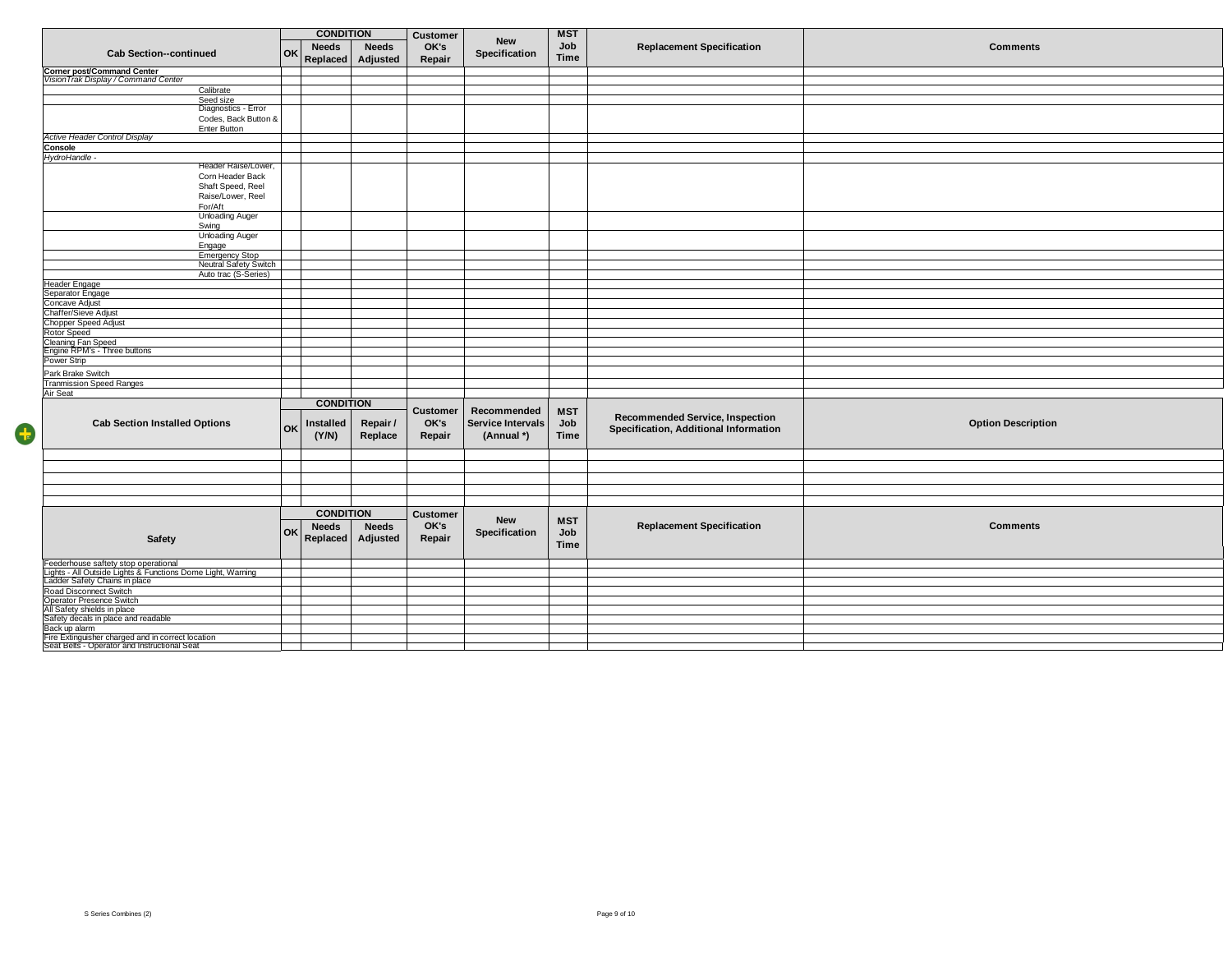|                                                                                                   | <b>CONDITION</b> |                  |              | <b>Customer</b> |                          | <b>MST</b>  |                                        |                           |
|---------------------------------------------------------------------------------------------------|------------------|------------------|--------------|-----------------|--------------------------|-------------|----------------------------------------|---------------------------|
|                                                                                                   |                  |                  |              |                 | <b>New</b>               | Job         |                                        |                           |
| <b>Cab Section--continued</b>                                                                     | <b>OK</b>        | <b>Needs</b>     | <b>Needs</b> | OK's            | Specification            |             | <b>Replacement Specification</b>       | <b>Comments</b>           |
|                                                                                                   |                  | Replaced         | Adjusted     | Repair          |                          | <b>Time</b> |                                        |                           |
| Corner post/Command Center<br>VisionTrak Display / Command Center                                 |                  |                  |              |                 |                          |             |                                        |                           |
|                                                                                                   |                  |                  |              |                 |                          |             |                                        |                           |
| Calibrate                                                                                         |                  |                  |              |                 |                          |             |                                        |                           |
| Seed size                                                                                         |                  |                  |              |                 |                          |             |                                        |                           |
| Diagnostics - Error                                                                               |                  |                  |              |                 |                          |             |                                        |                           |
| Codes, Back Button &                                                                              |                  |                  |              |                 |                          |             |                                        |                           |
| Enter Button<br><b>Active Header Control Display</b>                                              |                  |                  |              |                 |                          |             |                                        |                           |
|                                                                                                   |                  |                  |              |                 |                          |             |                                        |                           |
| Console                                                                                           |                  |                  |              |                 |                          |             |                                        |                           |
| HydroHandle -<br>Header Raise/Lower,                                                              |                  |                  |              |                 |                          |             |                                        |                           |
| Corn Header Back                                                                                  |                  |                  |              |                 |                          |             |                                        |                           |
| Shaft Speed, Reel                                                                                 |                  |                  |              |                 |                          |             |                                        |                           |
| Raise/Lower, Reel                                                                                 |                  |                  |              |                 |                          |             |                                        |                           |
| For/Aft                                                                                           |                  |                  |              |                 |                          |             |                                        |                           |
| <b>Unloading Auger</b>                                                                            |                  |                  |              |                 |                          |             |                                        |                           |
| Swing                                                                                             |                  |                  |              |                 |                          |             |                                        |                           |
| <b>Unloading Auger</b>                                                                            |                  |                  |              |                 |                          |             |                                        |                           |
| Engage                                                                                            |                  |                  |              |                 |                          |             |                                        |                           |
| <b>Emergency Stop</b>                                                                             |                  |                  |              |                 |                          |             |                                        |                           |
| Neutral Safety Switch                                                                             |                  |                  |              |                 |                          |             |                                        |                           |
| Auto trac (S-Series)                                                                              |                  |                  |              |                 |                          |             |                                        |                           |
| <b>Header Engage</b>                                                                              |                  |                  |              |                 |                          |             |                                        |                           |
| Separator Engage                                                                                  |                  |                  |              |                 |                          |             |                                        |                           |
| Concave Adjust                                                                                    |                  |                  |              |                 |                          |             |                                        |                           |
| Chaffer/Sieve Adjust                                                                              |                  |                  |              |                 |                          |             |                                        |                           |
| Chopper Speed Adjust                                                                              |                  |                  |              |                 |                          |             |                                        |                           |
| Rotor Speed                                                                                       |                  |                  |              |                 |                          |             |                                        |                           |
| Cleaning Fan Speed                                                                                |                  |                  |              |                 |                          |             |                                        |                           |
| Engine RPM's - Three buttons                                                                      |                  |                  |              |                 |                          |             |                                        |                           |
| Power Strip                                                                                       |                  |                  |              |                 |                          |             |                                        |                           |
| Park Brake Switch                                                                                 |                  |                  |              |                 |                          |             |                                        |                           |
| <b>Tranmission Speed Ranges</b>                                                                   |                  |                  |              |                 |                          |             |                                        |                           |
| Air Seat                                                                                          |                  |                  |              |                 |                          |             |                                        |                           |
|                                                                                                   |                  | <b>CONDITION</b> |              |                 |                          |             |                                        |                           |
|                                                                                                   |                  |                  |              | <b>Customer</b> | Recommended              | <b>MST</b>  |                                        |                           |
|                                                                                                   |                  |                  |              |                 |                          |             | <b>Recommended Service, Inspection</b> |                           |
| <b>Cab Section Installed Options</b>                                                              | <b>OK</b>        | Installed        | Repair /     | OK's            | <b>Service Intervals</b> | Job         | Specification, Additional Information  | <b>Option Description</b> |
|                                                                                                   |                  | (Y/N)            | Replace      | Repair          | (Annual *)               | <b>Time</b> |                                        |                           |
|                                                                                                   |                  |                  |              |                 |                          |             |                                        |                           |
|                                                                                                   |                  |                  |              |                 |                          |             |                                        |                           |
|                                                                                                   |                  |                  |              |                 |                          |             |                                        |                           |
|                                                                                                   |                  |                  |              |                 |                          |             |                                        |                           |
|                                                                                                   |                  |                  |              |                 |                          |             |                                        |                           |
|                                                                                                   |                  |                  |              |                 |                          |             |                                        |                           |
|                                                                                                   |                  |                  |              |                 |                          |             |                                        |                           |
|                                                                                                   |                  | <b>CONDITION</b> |              | <b>Customer</b> | <b>New</b>               | <b>MST</b>  |                                        |                           |
|                                                                                                   |                  | <b>Needs</b>     | <b>Needs</b> | OK's            |                          |             | <b>Replacement Specification</b>       | <b>Comments</b>           |
| Safety                                                                                            | OK               | Replaced         | Adjusted     | Repair          | Specification            | Job         |                                        |                           |
|                                                                                                   |                  |                  |              |                 |                          | <b>Time</b> |                                        |                           |
|                                                                                                   |                  |                  |              |                 |                          |             |                                        |                           |
| Feederhouse saftety stop operational                                                              |                  |                  |              |                 |                          |             |                                        |                           |
| Lights - All Outside Lights & Functions Dome Light, Warning<br>Ladder Safety Chains in place      |                  |                  |              |                 |                          |             |                                        |                           |
|                                                                                                   |                  |                  |              |                 |                          |             |                                        |                           |
| Road Disconnect Switch<br>Operator Presence Switch                                                |                  |                  |              |                 |                          |             |                                        |                           |
| All Safety shields in place                                                                       |                  |                  |              |                 |                          |             |                                        |                           |
| Safety decals in place and readable                                                               |                  |                  |              |                 |                          |             |                                        |                           |
| Back up alarm                                                                                     |                  |                  |              |                 |                          |             |                                        |                           |
|                                                                                                   |                  |                  |              |                 |                          |             |                                        |                           |
| Fire Extinguisher charged and in correct location<br>Seat Belts - Operator and Instructional Seat |                  |                  |              |                 |                          |             |                                        |                           |

4